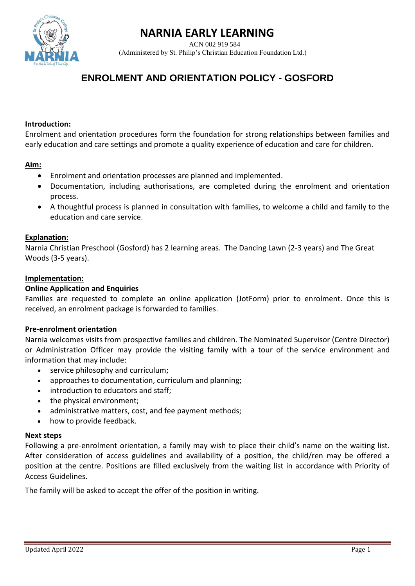



ACN 002 919 584 (Administered by St. Philip's Christian Education Foundation Ltd.)

# **ENROLMENT AND ORIENTATION POLICY - GOSFORD**

### **Introduction:**

Enrolment and orientation procedures form the foundation for strong relationships between families and early education and care settings and promote a quality experience of education and care for children.

### **Aim:**

- Enrolment and orientation processes are planned and implemented.
- Documentation, including authorisations, are completed during the enrolment and orientation process.
- A thoughtful process is planned in consultation with families, to welcome a child and family to the education and care service.

#### **Explanation:**

Narnia Christian Preschool (Gosford) has 2 learning areas. The Dancing Lawn (2-3 years) and The Great Woods (3-5 years).

#### **Implementation:**

#### **Online Application and Enquiries**

Families are requested to complete an online application (JotForm) prior to enrolment. Once this is received, an enrolment package is forwarded to families.

#### **Pre-enrolment orientation**

Narnia welcomes visits from prospective families and children. The Nominated Supervisor (Centre Director) or Administration Officer may provide the visiting family with a tour of the service environment and information that may include:

- service philosophy and curriculum:
- approaches to documentation, curriculum and planning;
- introduction to educators and staff;
- the physical environment;
- administrative matters, cost, and fee payment methods;
- how to provide feedback.

#### **Next steps**

Following a pre-enrolment orientation, a family may wish to place their child's name on the waiting list. After consideration of access guidelines and availability of a position, the child/ren may be offered a position at the centre. Positions are filled exclusively from the waiting list in accordance with Priority of Access Guidelines.

The family will be asked to accept the offer of the position in writing.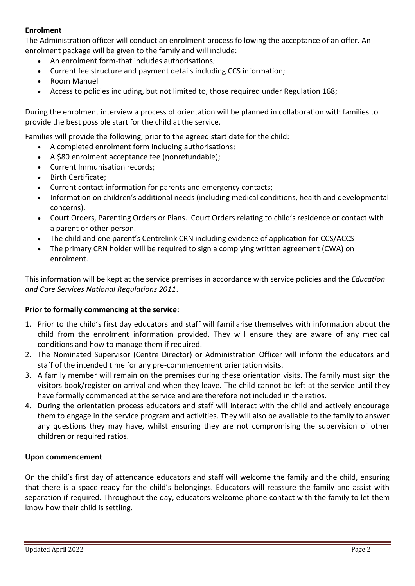## **Enrolment**

The Administration officer will conduct an enrolment process following the acceptance of an offer. An enrolment package will be given to the family and will include:

- An enrolment form-that includes authorisations;
- Current fee structure and payment details including CCS information;
- Room Manuel
- Access to policies including, but not limited to, those required under Regulation 168;

During the enrolment interview a process of orientation will be planned in collaboration with families to provide the best possible start for the child at the service.

Families will provide the following, prior to the agreed start date for the child:

- A completed enrolment form including authorisations;
- A \$80 enrolment acceptance fee (nonrefundable);
- Current Immunisation records;
- Birth Certificate;
- Current contact information for parents and emergency contacts;
- Information on children's additional needs (including medical conditions, health and developmental concerns).
- Court Orders, Parenting Orders or Plans. Court Orders relating to child's residence or contact with a parent or other person.
- The child and one parent's Centrelink CRN including evidence of application for CCS/ACCS
- The primary CRN holder will be required to sign a complying written agreement (CWA) on enrolment.

This information will be kept at the service premises in accordance with service policies and the *Education and Care Services National Regulations 2011*.

## **Prior to formally commencing at the service:**

- 1. Prior to the child's first day educators and staff will familiarise themselves with information about the child from the enrolment information provided. They will ensure they are aware of any medical conditions and how to manage them if required.
- 2. The Nominated Supervisor (Centre Director) or Administration Officer will inform the educators and staff of the intended time for any pre-commencement orientation visits.
- 3. A family member will remain on the premises during these orientation visits. The family must sign the visitors book/register on arrival and when they leave. The child cannot be left at the service until they have formally commenced at the service and are therefore not included in the ratios.
- 4. During the orientation process educators and staff will interact with the child and actively encourage them to engage in the service program and activities. They will also be available to the family to answer any questions they may have, whilst ensuring they are not compromising the supervision of other children or required ratios.

## **Upon commencement**

On the child's first day of attendance educators and staff will welcome the family and the child, ensuring that there is a space ready for the child's belongings. Educators will reassure the family and assist with separation if required. Throughout the day, educators welcome phone contact with the family to let them know how their child is settling.